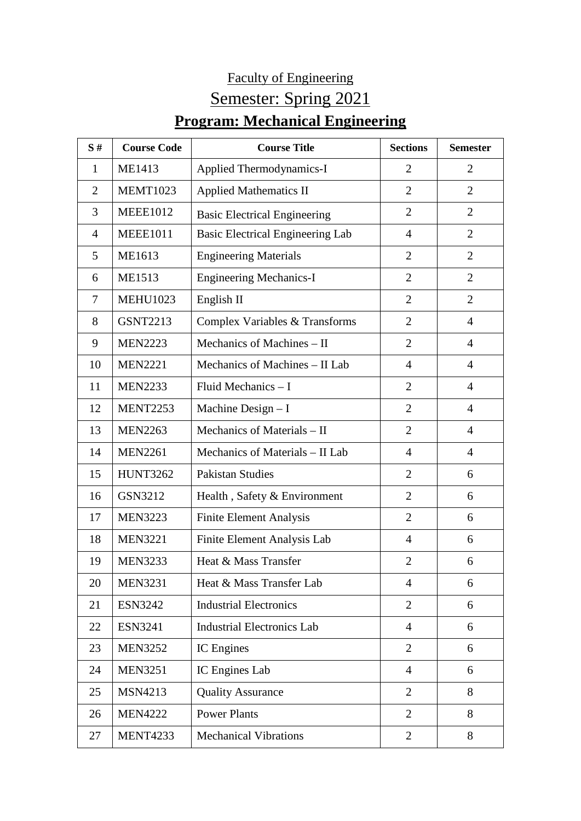## Faculty of Engineering Semester: Spring 2021 **Program: Mechanical Engineering**

| S#             | <b>Course Code</b> | <b>Course Title</b>                     | <b>Sections</b> | <b>Semester</b> |
|----------------|--------------------|-----------------------------------------|-----------------|-----------------|
| 1              | ME1413             | Applied Thermodynamics-I                | $\overline{2}$  | $\overline{2}$  |
| $\overline{2}$ | <b>MEMT1023</b>    | <b>Applied Mathematics II</b>           | $\overline{2}$  | $\overline{2}$  |
| 3              | <b>MEEE1012</b>    | <b>Basic Electrical Engineering</b>     | $\overline{2}$  | $\overline{2}$  |
| $\overline{4}$ | <b>MEEE1011</b>    | <b>Basic Electrical Engineering Lab</b> | $\overline{4}$  | $\overline{2}$  |
| 5              | ME1613             | <b>Engineering Materials</b>            | 2               | $\overline{2}$  |
| 6              | <b>ME1513</b>      | <b>Engineering Mechanics-I</b>          | $\overline{2}$  | $\overline{2}$  |
| 7              | <b>MEHU1023</b>    | English II                              | $\overline{2}$  | $\overline{2}$  |
| 8              | <b>GSNT2213</b>    | Complex Variables & Transforms          | $\overline{2}$  | $\overline{4}$  |
| 9              | <b>MEN2223</b>     | Mechanics of Machines - II              | $\overline{2}$  | $\overline{4}$  |
| 10             | <b>MEN2221</b>     | Mechanics of Machines – II Lab          | $\overline{4}$  | $\overline{4}$  |
| 11             | <b>MEN2233</b>     | Fluid Mechanics $-1$                    | $\overline{2}$  | $\overline{4}$  |
| 12             | <b>MENT2253</b>    | Machine Design - I                      | 2               | $\overline{4}$  |
| 13             | <b>MEN2263</b>     | Mechanics of Materials - II             | $\overline{2}$  | $\overline{4}$  |
| 14             | <b>MEN2261</b>     | Mechanics of Materials - II Lab         | $\overline{4}$  | $\overline{4}$  |
| 15             | <b>HUNT3262</b>    | <b>Pakistan Studies</b>                 | $\overline{2}$  | 6               |
| 16             | GSN3212            | Health, Safety & Environment            | $\overline{2}$  | 6               |
| 17             | <b>MEN3223</b>     | <b>Finite Element Analysis</b>          | $\overline{2}$  | 6               |
| 18             | <b>MEN3221</b>     | Finite Element Analysis Lab             | 4               | 6               |
| 19             | <b>MEN3233</b>     | Heat & Mass Transfer                    | $\overline{2}$  | 6               |
| 20             | <b>MEN3231</b>     | Heat & Mass Transfer Lab                | 4               | 6               |
| 21             | <b>ESN3242</b>     | <b>Industrial Electronics</b>           | $\overline{2}$  | 6               |
| 22             | <b>ESN3241</b>     | <b>Industrial Electronics Lab</b>       | $\overline{4}$  | 6               |
| 23             | <b>MEN3252</b>     | IC Engines                              | $\overline{2}$  | 6               |
| 24             | <b>MEN3251</b>     | IC Engines Lab                          | $\overline{4}$  | 6               |
| 25             | <b>MSN4213</b>     | <b>Quality Assurance</b>                | $\overline{2}$  | 8               |
| 26             | <b>MEN4222</b>     | <b>Power Plants</b>                     | $\overline{2}$  | 8               |
| 27             | <b>MENT4233</b>    | <b>Mechanical Vibrations</b>            | $\overline{2}$  | 8               |